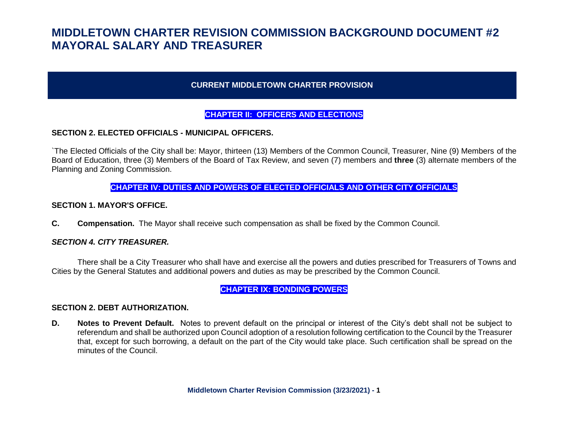## **CURRENT MIDDLETOWN CHARTER PROVISION**

## **CHAPTER II: OFFICERS AND ELECTIONS**

## **SECTION 2. ELECTED OFFICIALS - MUNICIPAL OFFICERS.**

`The Elected Officials of the City shall be: Mayor, thirteen (13) Members of the Common Council, Treasurer, Nine (9) Members of the Board of Education, three (3) Members of the Board of Tax Review, and seven (7) members and **three** (3) alternate members of the Planning and Zoning Commission.

#### **CHAPTER IV: DUTIES AND POWERS OF ELECTED OFFICIALS AND OTHER CITY OFFICIALS**

#### **SECTION 1. MAYOR'S OFFICE.**

**C. Compensation.** The Mayor shall receive such compensation as shall be fixed by the Common Council.

#### *SECTION 4. CITY TREASURER.*

There shall be a City Treasurer who shall have and exercise all the powers and duties prescribed for Treasurers of Towns and Cities by the General Statutes and additional powers and duties as may be prescribed by the Common Council.

#### **CHAPTER IX: BONDING POWERS**

#### **SECTION 2. DEBT AUTHORIZATION.**

**D. Notes to Prevent Default.** Notes to prevent default on the principal or interest of the City's debt shall not be subject to referendum and shall be authorized upon Council adoption of a resolution following certification to the Council by the Treasurer that, except for such borrowing, a default on the part of the City would take place. Such certification shall be spread on the minutes of the Council.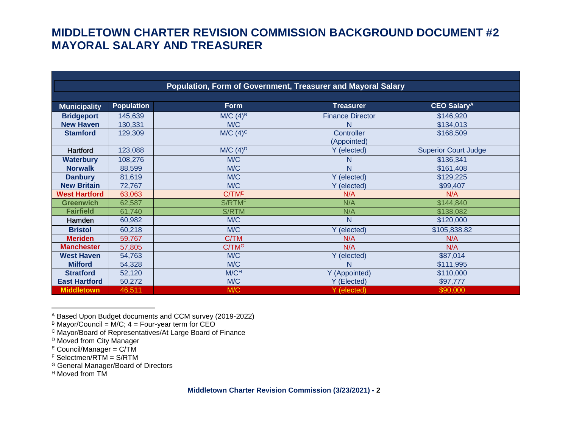| Population, Form of Government, Treasurer and Mayoral Salary |                   |                        |                           |                               |  |  |  |
|--------------------------------------------------------------|-------------------|------------------------|---------------------------|-------------------------------|--|--|--|
|                                                              |                   |                        |                           |                               |  |  |  |
| <b>Municipality</b>                                          | <b>Population</b> | <b>Form</b>            | <b>Treasurer</b>          | <b>CEO Salary<sup>A</sup></b> |  |  |  |
| <b>Bridgeport</b>                                            | 145,639           | $M/C$ (4) <sup>B</sup> | <b>Finance Director</b>   | \$146,920                     |  |  |  |
| <b>New Haven</b>                                             | 130,331           | M/C                    |                           | \$134,013                     |  |  |  |
| <b>Stamford</b>                                              | 129,309           | $M/C$ (4) <sup>c</sup> | Controller<br>(Appointed) | \$168,509                     |  |  |  |
| Hartford                                                     | 123,088           | $M/C$ (4) <sup>D</sup> | Y (elected)               | <b>Superior Court Judge</b>   |  |  |  |
| <b>Waterbury</b>                                             | 108,276           | M/C                    | N                         | \$136,341                     |  |  |  |
| <b>Norwalk</b>                                               | 88,599            | M/C                    | N.                        | \$161,408                     |  |  |  |
| <b>Danbury</b>                                               | 81,619            | M/C                    | Y (elected)               | \$129,225                     |  |  |  |
| <b>New Britain</b>                                           | 72,767            | M/C                    | Y (elected)               | \$99,407                      |  |  |  |
| <b>West Hartford</b>                                         | 63,063            | C/TM <sup>E</sup>      | N/A                       | N/A                           |  |  |  |
| <b>Greenwich</b>                                             | 62,587            | S/RTMF                 | N/A                       | \$144,840                     |  |  |  |
| <b>Fairfield</b>                                             | 61,740            | <b>S/RTM</b>           | N/A                       | \$138,082                     |  |  |  |
| Hamden                                                       | 60,982            | M/C                    | N                         | \$120,000                     |  |  |  |
| <b>Bristol</b>                                               | 60,218            | M/C                    | Y (elected)               | \$105,838.82                  |  |  |  |
| <b>Meriden</b>                                               | 59,767            | C/TM                   | N/A                       | N/A                           |  |  |  |
| <b>Manchester</b>                                            | 57,805            | C/TM <sup>G</sup>      | N/A                       | N/A                           |  |  |  |
| <b>West Haven</b>                                            | 54,763            | M/C                    | Y (elected)               | \$87,014                      |  |  |  |
| <b>Milford</b>                                               | 54,328            | M/C                    | N                         | \$111,995                     |  |  |  |
| <b>Stratford</b>                                             | 52,120            | M/C <sup>H</sup>       | Y (Appointed)             | \$110,000                     |  |  |  |
| <b>East Hartford</b>                                         | 50,272            | M/C                    | Y (Elected)               | \$97,777                      |  |  |  |
| <b>Middletown</b>                                            | 46,511            | M/C                    | Y (elected)               | \$90,000                      |  |  |  |

l <sup>A</sup> Based Upon Budget documents and CCM survey (2019-2022)

- <sup>G</sup> General Manager/Board of Directors
- <sup>H</sup> Moved from TM

 $B$  Mayor/Council = M/C;  $4 =$  Four-year term for CEO

<sup>C</sup> Mayor/Board of Representatives/At Large Board of Finance

D Moved from City Manager

E Council/Manager = C/TM

<sup>F</sup> Selectmen/RTM = S/RTM